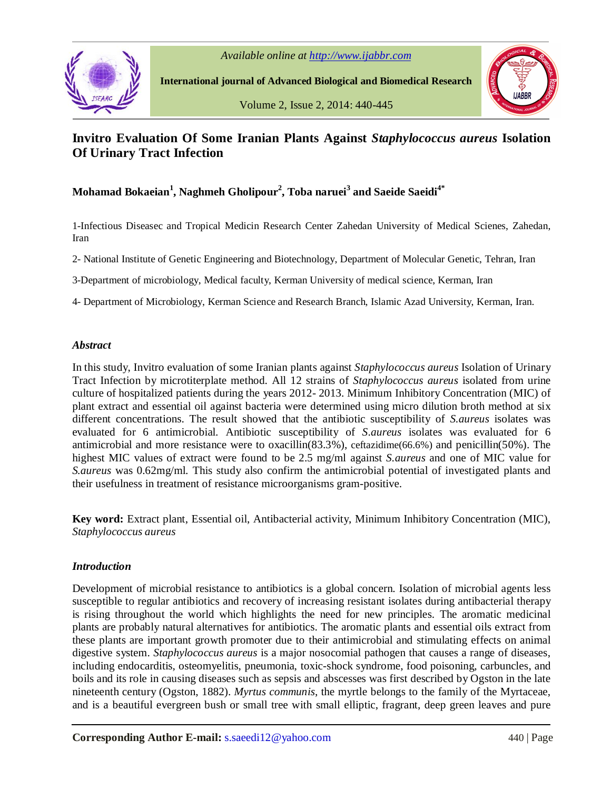



 **International journal of Advanced Biological and Biomedical Research**

Volume 2, Issue 2, 2014: 440-445



# **Invitro Evaluation Of Some Iranian Plants Against** *Staphylococcus aureus* **Isolation Of Urinary Tract Infection**

# **Mohamad Bokaeian<sup>1</sup> , Naghmeh Gholipour<sup>2</sup> , Toba naruei<sup>3</sup> and Saeide Saeidi4\***

1-Infectious Diseasec and Tropical Medicin Research Center Zahedan University of Medical Scienes, Zahedan, Iran

2- National Institute of Genetic Engineering and Biotechnology, Department of Molecular Genetic, Tehran, Iran

3-Department of microbiology, Medical faculty, Kerman University of medical science, Kerman, Iran

4- Department of Microbiology, Kerman Science and Research Branch, Islamic Azad University, Kerman, Iran.

## *Abstract*

In this study, Invitro evaluation of some Iranian plants against *Staphylococcus aureus* Isolation of Urinary Tract Infection by microtiterplate method. All 12 strains of *Staphylococcus aureus* isolated from urine culture of hospitalized patients during the years 2012- 2013. Minimum Inhibitory Concentration (MIC) of plant extract and essential oil against bacteria were determined using micro dilution broth method at six different concentrations. The result showed that the antibiotic susceptibility of *S.aureus* isolates was evaluated for 6 antimicrobial. Antibiotic susceptibility of *S.aureus* isolates was evaluated for 6 antimicrobial and more resistance were to oxacillin(83.3%), ceftazidime(66.6%) and penicillin(50%). The highest MIC values of extract were found to be 2.5 mg/ml against *S.aureus* and one of MIC value for *S.aureus* was 0.62mg/ml. This study also confirm the antimicrobial potential of investigated plants and their usefulness in treatment of resistance microorganisms gram-positive.

**Key word:** Extract plant, Essential oil, Antibacterial activity, Minimum Inhibitory Concentration (MIC), *Staphylococcus aureus*

# *Introduction*

Development of microbial resistance to antibiotics is a global concern. Isolation of microbial agents less susceptible to regular antibiotics and recovery of increasing resistant isolates during antibacterial therapy is rising throughout the world which highlights the need for new principles. The aromatic medicinal plants are probably natural alternatives for antibiotics. The aromatic plants and essential oils extract from these plants are important growth promoter due to their antimicrobial and stimulating effects on animal digestive system. *Staphylococcus aureus* is a major nosocomial pathogen that causes a range of diseases, including endocarditis, osteomyelitis, pneumonia, toxic-shock syndrome, food poisoning, carbuncles, and boils and its role in causing diseases such as sepsis and abscesses was first described by Ogston in the late nineteenth century (Ogston, 1882). *Myrtus communis*, the myrtle belongs to the family of the Myrtaceae, and is a beautiful evergreen bush or small tree with small elliptic, fragrant, deep green leaves and pure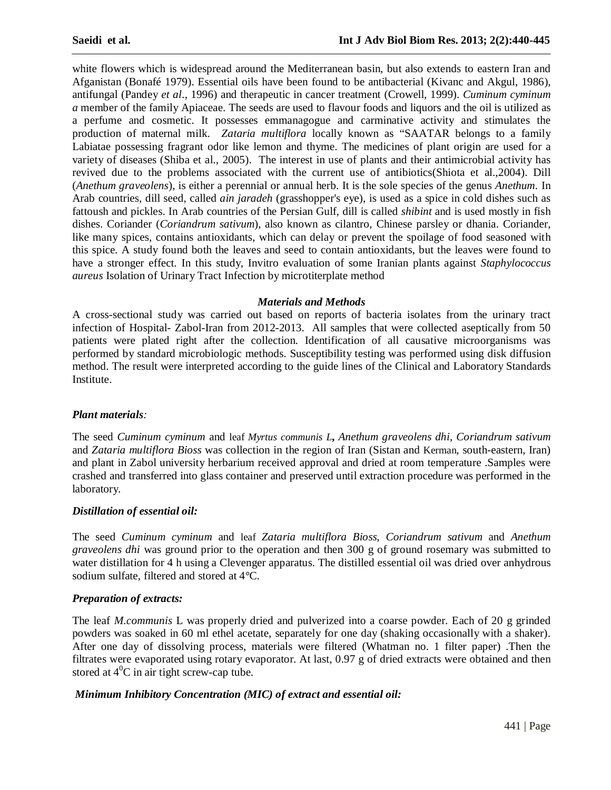white flowers which is widespread around the Mediterranean basin, but also extends to eastern Iran and Afganistan (Bonafé 1979). Essential oils have been found to be antibacterial (Kivanc and Akgul, 1986), antifungal (Pandey *et al*., 1996) and therapeutic in cancer treatment (Crowell, 1999). *Cuminum cyminum a* member of the family Apiaceae. The seeds are used to flavour foods and liquors and the oil is utilized as a perfume and cosmetic. It possesses emmanagogue and carminative activity and stimulates the production of maternal milk. *Zataria multiflora* locally known as "SAATAR belongs to a family Labiatae possessing fragrant odor like lemon and thyme. The medicines of plant origin are used for a variety of diseases (Shiba et al., 2005). The interest in use of plants and their antimicrobial activity has revived due to the problems associated with the current use of antibiotics(Shiota et al.,2004). Dill (*Anethum graveolens*), is either a perennial or annual herb. It is the sole species of the genus *Anethum*. In Arab countries, dill seed, called *ain jaradeh* (grasshopper's eye), is used as a spice in cold dishes such as fattoush and pickles. In Arab countries of the Persian Gulf, dill is called *shibint* and is used mostly in fish dishes. Coriander (*Coriandrum sativum*), also known as cilantro, Chinese parsley or dhania. Coriander, like many spices, contains antioxidants, which can delay or prevent the spoilage of food seasoned with this spice. A study found both the leaves and seed to contain antioxidants, but the leaves were found to have a stronger effect. In this study, Invitro evaluation of some Iranian plants against *Staphylococcus aureus* Isolation of Urinary Tract Infection by microtiterplate method

#### *Materials and Methods*

A cross-sectional study was carried out based on reports of bacteria isolates from the urinary tract infection of Hospital- Zabol-Iran from 2012-2013. All samples that were collected aseptically from 50 patients were plated right after the collection. Identification of all causative microorganisms was performed by standard microbiologic methods. Susceptibility testing was performed using disk diffusion method. The result were interpreted according to the guide lines of the Clinical and Laboratory Standards Institute.

#### *Plant materials:*

The seed *Cuminum cyminum* and leaf *Myrtus communis L***,** *Anethum graveolens dhi*, *Coriandrum sativum* and *Zataria multiflora Bioss* was collection in the region of Iran (Sistan and Kerman, south-eastern, Iran) and plant in Zabol university herbarium received approval and dried at room temperature .Samples were crashed and transferred into glass container and preserved until extraction procedure was performed in the laboratory.

#### *Distillation of essential oil:*

The seed *Cuminum cyminum* and leaf *Zataria multiflora Bioss*, *Coriandrum sativum* and *Anethum graveolens dhi* was ground prior to the operation and then 300 g of ground rosemary was submitted to water distillation for 4 h using a Clevenger apparatus. The distilled essential oil was dried over anhydrous sodium sulfate, filtered and stored at 4°C.

#### *Preparation of extracts:*

The leaf *M.communis* L was properly dried and pulverized into a coarse powder. Each of 20 g grinded powders was soaked in 60 ml ethel acetate, separately for one day (shaking occasionally with a shaker). After one day of dissolving process, materials were filtered (Whatman no. 1 filter paper) .Then the filtrates were evaporated using rotary evaporator. At last, 0.97 g of dried extracts were obtained and then stored at  $4^{\circ}$ C in air tight screw-cap tube.

#### *Minimum Inhibitory Concentration (MIC) of extract and essential oil:*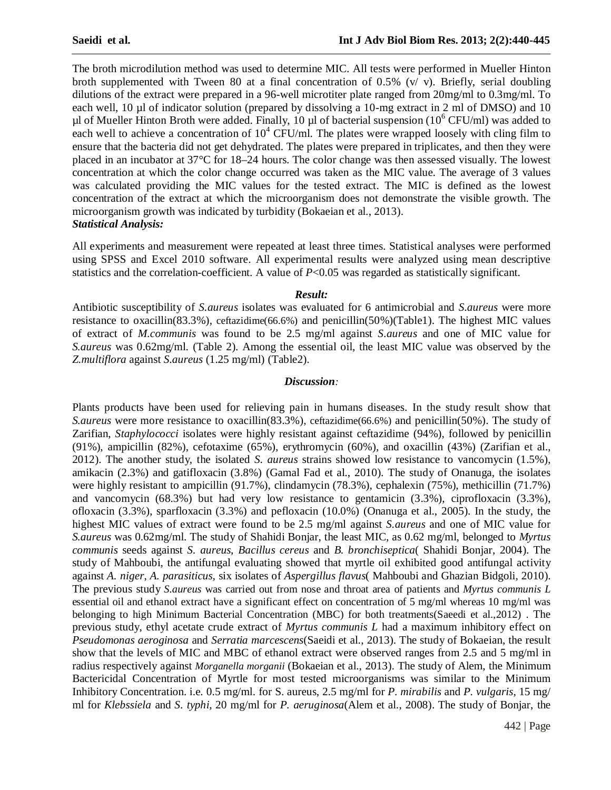The broth microdilution method was used to determine MIC. All tests were performed in Mueller Hinton broth supplemented with Tween 80 at a final concentration of 0.5% (v/ $v$ ). Briefly, serial doubling dilutions of the extract were prepared in a 96-well microtiter plate ranged from 20mg/ml to 0.3mg/ml. To each well, 10 µl of indicator solution (prepared by dissolving a 10-mg extract in 2 ml of DMSO) and 10 ul of Mueller Hinton Broth were added. Finally, 10 µl of bacterial suspension ( $10^6$  CFU/ml) was added to each well to achieve a concentration of  $10^4$  CFU/ml. The plates were wrapped loosely with cling film to ensure that the bacteria did not get dehydrated. The plates were prepared in triplicates, and then they were placed in an incubator at 37°C for 18–24 hours. The color change was then assessed visually. The lowest concentration at which the color change occurred was taken as the MIC value. The average of 3 values was calculated providing the MIC values for the tested extract. The MIC is defined as the lowest concentration of the extract at which the microorganism does not demonstrate the visible growth. The microorganism growth was indicated by turbidity (Bokaeian et al., 2013). *Statistical Analysis:*

All experiments and measurement were repeated at least three times. Statistical analyses were performed using SPSS and Excel 2010 software. All experimental results were analyzed using mean descriptive statistics and the correlation-coefficient. A value of  $P<0.05$  was regarded as statistically significant.

#### *Result:*

Antibiotic susceptibility of *S.aureus* isolates was evaluated for 6 antimicrobial and *S.aureus* were more resistance to oxacillin(83.3%), ceftazidime(66.6%) and penicillin(50%)(Table1). The highest MIC values of extract of *M.communis* was found to be 2.5 mg/ml against *S.aureus* and one of MIC value for *S.aureus* was 0.62mg/ml. (Table 2). Among the essential oil, the least MIC value was observed by the *Z.multiflora* against *S.aureus* (1.25 mg/ml) (Table2).

#### *Discussion:*

Plants products have been used for relieving pain in humans diseases. In the study result show that *S.aureus* were more resistance to oxacillin(83.3%), ceftazidime(66.6%) and penicillin(50%). The study of Zarifian, *Staphylococci* isolates were highly resistant against ceftazidime (94%), followed by penicillin (91%), ampicillin (82%), cefotaxime (65%), erythromycin (60%), and oxacillin (43%) (Zarifian et al., 2012). The another study, the isolated *S. aureus* strains showed low resistance to vancomycin (1.5%), amikacin (2.3%) and gatifloxacin (3.8%) (Gamal Fad et al., 2010). The study of Onanuga, the isolates were highly resistant to ampicillin (91.7%), clindamycin (78.3%), cephalexin (75%), methicillin (71.7%) and vancomycin (68.3%) but had very low resistance to gentamicin (3.3%), ciprofloxacin (3.3%), ofloxacin (3.3%), sparfloxacin (3.3%) and pefloxacin (10.0%) (Onanuga et al., 2005). In the study, the highest MIC values of extract were found to be 2.5 mg/ml against *S.aureus* and one of MIC value for *S.aureus* was 0.62mg/ml. The study of Shahidi Bonjar, the least MIC, as 0.62 mg/ml, belonged to *Myrtus communis* seeds against *S. aureus*, *Bacillus cereus* and *B. bronchiseptica*( Shahidi Bonjar, 2004). The study of Mahboubi, the antifungal evaluating showed that myrtle oil exhibited good antifungal activity against *A. niger*, *A. parasiticus*, six isolates of *Aspergillus flavus*( Mahboubi and Ghazian Bidgoli, 2010). The previous study *S.aureus* was carried out from nose and throat area of patients and *Myrtus communis L* essential oil and ethanol extract have a significant effect on concentration of 5 mg/ml whereas 10 mg/ml was belonging to high Minimum Bacterial Concentration (MBC) for both treatments(Saeedi et al.,2012) . The previous study, ethyl acetate crude extract of *Myrtus communis L* had a maximum inhibitory effect on *Pseudomonas aeroginosa* and *Serratia marcescens*(Saeidi et al., 2013). The study of Bokaeian, the result show that the levels of MIC and MBC of ethanol extract were observed ranges from 2.5 and 5 mg/ml in radius respectively against *Morganella morganii* (Bokaeian et al., 2013). The study of Alem, the Minimum Bactericidal Concentration of Myrtle for most tested microorganisms was similar to the Minimum Inhibitory Concentration. i.e. 0.5 mg/ml. for S. aureus, 2.5 mg/ml for *P. mirabilis* and *P. vulgaris*, 15 mg/ ml for *Klebssiela* and *S. typhi*, 20 mg/ml for *P. aeruginosa*(Alem et al., 2008). The study of Bonjar, the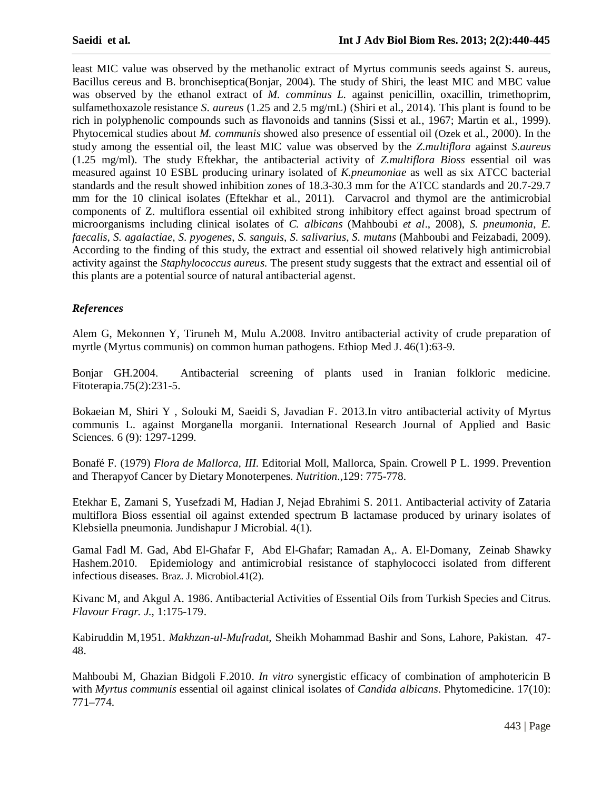least MIC value was observed by the methanolic extract of Myrtus communis seeds against S. aureus, Bacillus cereus and B. bronchiseptica(Bonjar, 2004). The study of Shiri, the least MIC and MBC value was observed by the ethanol extract of *M. comminus L.* against penicillin, oxacillin, trimethoprim, sulfamethoxazole resistance *S. aureus* (1.25 and 2.5 mg/mL) (Shiri et al., 2014). This plant is found to be rich in polyphenolic compounds such as flavonoids and tannins (Sissi et al., 1967; Martin et al., 1999). Phytocemical studies about *M. communis* showed also presence of essential oil (Ozek et al., 2000). In the study among the essential oil, the least MIC value was observed by the *Z.multiflora* against *S.aureus* (1.25 mg/ml). The study Eftekhar, the antibacterial activity of *Z.multiflora Bioss* essential oil was measured against 10 ESBL producing urinary isolated of *K.pneumoniae* as well as six ATCC bacterial standards and the result showed inhibition zones of 18.3-30.3 mm for the ATCC standards and 20.7-29.7 mm for the 10 clinical isolates (Eftekhar et al., 2011). Carvacrol and thymol are the antimicrobial components of Z. multiflora essential oil exhibited strong inhibitory effect against broad spectrum of microorganisms including clinical isolates of *C. albicans* (Mahboubi *et al*., 2008), *S. pneumonia*, *E. faecalis*, *S. agalactiae*, *S. pyogenes*, *S. sanguis*, *S. salivarius*, *S. mutans* (Mahboubi and Feizabadi, 2009). According to the finding of this study, the extract and essential oil showed relatively high antimicrobial activity against the *Staphylococcus aureus*. The present study suggests that the extract and essential oil of this plants are a potential source of natural antibacterial agenst.

## *References*

Alem G, Mekonnen Y, Tiruneh M, Mulu A.2008. Invitro antibacterial activity of crude preparation of myrtle (Myrtus communis) on common human pathogens. Ethiop Med J. 46(1):63-9.

Bonjar GH.2004. Antibacterial screening of plants used in Iranian folkloric medicine. Fitoterapia.75(2):231-5.

Bokaeian M, Shiri Y , Solouki M, Saeidi S, Javadian F. 2013.In vitro antibacterial activity of Myrtus communis L. against Morganella morganii. International Research Journal of Applied and Basic Sciences. 6 (9): 1297-1299.

Bonafé F. (1979) *Flora de Mallorca, III*. Editorial Moll, Mallorca, Spain. Crowell P L. 1999. Prevention and Therapyof Cancer by Dietary Monoterpenes. *Nutrition.,*129: 775-778.

Etekhar E, Zamani S, Yusefzadi M, Hadian J, Nejad Ebrahimi S. 2011. Antibacterial activity of Zataria multiflora Bioss essential oil against extended spectrum B lactamase produced by urinary isolates of Klebsiella pneumonia. Jundishapur J Microbial. 4(1).

Gamal Fadl M. Gad, Abd El-Ghafar F, Abd El-Ghafar; Ramadan A,. A. El-Domany, Zeinab Shawky Hashem.2010. Epidemiology and antimicrobial resistance of staphylococci isolated from different infectious diseases. Braz. J. Microbiol.41(2).

Kivanc M, and Akgul A. 1986. Antibacterial Activities of Essential Oils from Turkish Species and Citrus. *Flavour Fragr. J.,* 1:175-179.

Kabiruddin M,1951. *Makhzan-ul-Mufradat*, Sheikh Mohammad Bashir and Sons, Lahore, Pakistan. 47- 48.

Mahboubi M, Ghazian Bidgoli F.2010. *In vitro* synergistic efficacy of combination of amphotericin B with *Myrtus communis* essential oil against clinical isolates of *Candida albicans*. Phytomedicine. 17(10): 771–774.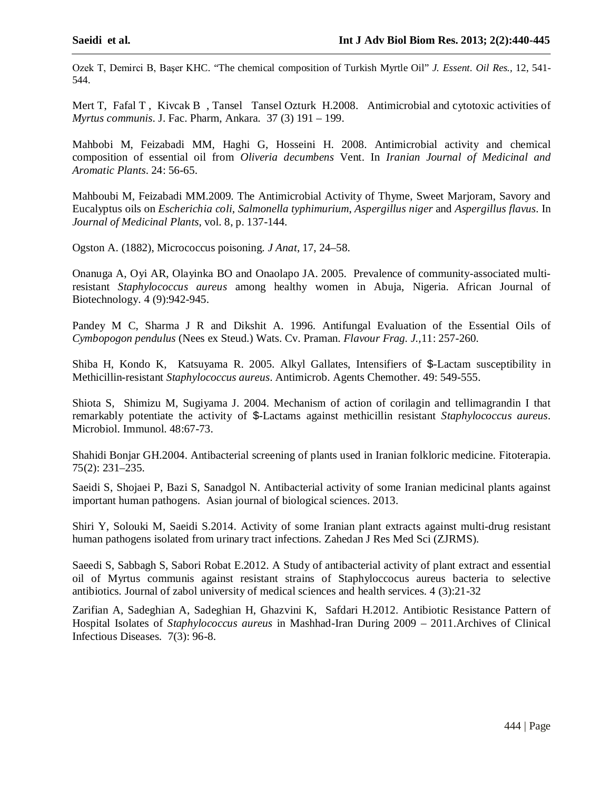Ozek T, Demirci B, Başer KHC. "The chemical composition of Turkish Myrtle Oil" *J. Essent. Oil Res.,* 12, 541- 544.

Mert T, Fafal T, Kivcak B, Tansel Tansel Ozturk H.2008. Antimicrobial and cytotoxic activities of *Myrtus communis*. J. Fac. Pharm, Ankara. 37 (3) 191 – 199.

Mahbobi M, Feizabadi MM, Haghi G, Hosseini H. 2008. Antimicrobial activity and chemical composition of essential oil from *Oliveria decumbens* Vent. In *Iranian Journal of Medicinal and Aromatic Plants*. 24: 56-65.

Mahboubi M, Feizabadi MM.2009. The Antimicrobial Activity of Thyme, Sweet Marjoram, Savory and Eucalyptus oils on *Escherichia coli*, *Salmonella typhimurium*, *Aspergillus niger* and *Aspergillus flavus*. In *Journal of Medicinal Plants*, vol. 8, p. 137-144.

Ogston A. (1882), Micrococcus poisoning. *J Anat*, 17, 24–58.

Onanuga A, Oyi AR, Olayinka BO and Onaolapo JA. 2005. Prevalence of community-associated multiresistant *Staphylococcus aureus* among healthy women in Abuja, Nigeria. African Journal of Biotechnology. 4 (9):942-945.

Pandey M C, Sharma J R and Dikshit A. 1996. Antifungal Evaluation of the Essential Oils of *Cymbopogon pendulus* (Nees ex Steud.) Wats. Cv. Praman. *Flavour Frag. J.,*11: 257-260.

Shiba H, Kondo K, Katsuyama R. 2005. Alkyl Gallates, Intensifiers of \$-Lactam susceptibility in Methicillin-resistant *Staphylococcus aureus*. Antimicrob. Agents Chemother. 49: 549-555.

Shiota S, Shimizu M, Sugiyama J. 2004. Mechanism of action of corilagin and tellimagrandin I that remarkably potentiate the activity of \$-Lactams against methicillin resistant *Staphylococcus aureus*. Microbiol. Immunol. 48:67-73.

Shahidi Bonjar GH.2004. Antibacterial screening of plants used in Iranian folkloric medicine. Fitoterapia. 75(2): 231–235.

Saeidi S, Shojaei P, Bazi S, Sanadgol N. Antibacterial activity of some Iranian medicinal plants against important human pathogens. Asian journal of biological sciences. 2013.

Shiri Y, Solouki M, Saeidi S.2014. Activity of some Iranian plant extracts against multi-drug resistant human pathogens isolated from urinary tract infections. Zahedan J Res Med Sci (ZJRMS).

Saeedi S, Sabbagh S, Sabori Robat E.2012. A Study of antibacterial activity of plant extract and essential oil of Myrtus communis against resistant strains of Staphyloccocus aureus bacteria to selective antibiotics. Journal of zabol university of medical sciences and health services. 4 (3):21-32

Zarifian A, Sadeghian A, Sadeghian H, Ghazvini K, Safdari H.2012. Antibiotic Resistance Pattern of Hospital Isolates of *Staphylococcus aureus* in Mashhad-Iran During 2009 – 2011.Archives of Clinical Infectious Diseases. 7(3): 96-8.